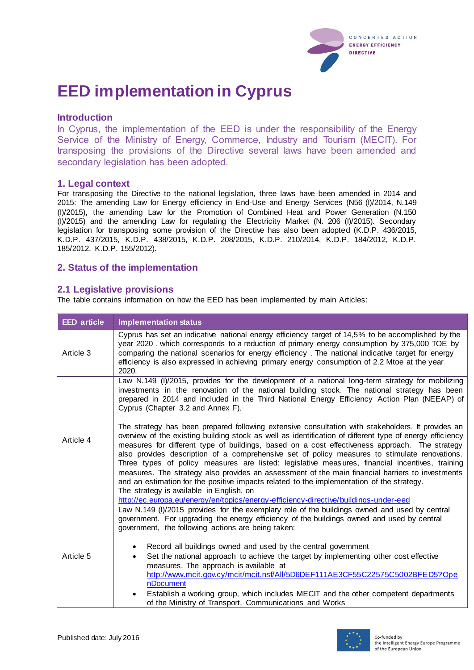

# **EED implementation in Cyprus**

#### **Introduction**

In Cyprus, the implementation of the EED is under the responsibility of the Energy Service of the Ministry of Energy, Commerce, Industry and Tourism (MECIT). For transposing the provisions of the Directive several laws have been amended and secondary legislation has been adopted.

#### **1. Legal context**

For transposing the Directive to the national legislation, three laws have been amended in 2014 and 2015: The amending Law for Energy efficiency in End-Use and Energy Services (N56 (I)/2014, N.149 (I)/2015), the amending Law for the Promotion of Combined Heat and Power Generation (N.150 (I)/2015) and the amending Law for regulating the Electricity Market (N. 206 (I)/2015). Secondary legislation for transposing some provision of the Directive has also been adopted (K.D.P. 436/2015, K.D.P. 437/2015, K.D.P. 438/2015, K.D.P. 208/2015, K.D.P. 210/2014, K.D.P. 184/2012, K.D.P. 185/2012, K.D.P. 155/2012).

## **2. Status of the implementation**

## **2.1 Legislative provisions**

The table contains information on how the EED has been implemented by main Articles:

| <b>EED</b> article | <b>Implementation status</b>                                                                                                                                                                                                                                                                                                                                                                                                                                                                                                                                                                                                                                                                                                                                                                                                                             |
|--------------------|----------------------------------------------------------------------------------------------------------------------------------------------------------------------------------------------------------------------------------------------------------------------------------------------------------------------------------------------------------------------------------------------------------------------------------------------------------------------------------------------------------------------------------------------------------------------------------------------------------------------------------------------------------------------------------------------------------------------------------------------------------------------------------------------------------------------------------------------------------|
| Article 3          | Cyprus has set an indicative national energy efficiency target of 14,5% to be accomplished by the<br>year 2020, which corresponds to a reduction of primary energy consumption by 375,000 TOE by<br>comparing the national scenarios for energy efficiency. The national indicative target for energy<br>efficiency is also expressed in achieving primary energy consumption of 2.2 Mtoe at the year<br>2020.                                                                                                                                                                                                                                                                                                                                                                                                                                           |
| Article 4          | Law N.149 (I)/2015, provides for the development of a national long-term strategy for mobilizing<br>investments in the renovation of the national building stock. The national strategy has been<br>prepared in 2014 and included in the Third National Energy Efficiency Action Plan (NEEAP) of<br>Cyprus (Chapter 3.2 and Annex F).                                                                                                                                                                                                                                                                                                                                                                                                                                                                                                                    |
|                    | The strategy has been prepared following extensive consultation with stakeholders. It provides an<br>overview of the existing building stock as well as identification of different type of energy efficiency<br>measures for different type of buildings, based on a cost effectiveness approach. The strategy<br>also provides description of a comprehensive set of policy measures to stimulate renovations.<br>Three types of policy measures are listed: legislative measures, financial incentives, training<br>measures. The strategy also provides an assessment of the main financial barriers to investments<br>and an estimation for the positive impacts related to the implementation of the strategy.<br>The strategy is available in English, on<br>http://ec.europa.eu/energy/en/topics/energy-efficiency-directive/buildings-under-eed |
| Article 5          | Law N.149 (I)/2015 provides for the exemplary role of the buildings owned and used by central<br>government. For upgrading the energy efficiency of the buildings owned and used by central<br>government, the following actions are being taken:<br>Record all buildings owned and used by the central government<br>Set the national approach to achieve the target by implementing other cost effective<br>$\bullet$<br>measures. The approach is available at<br>http://www.mcit.gov.cy/mcit/mcit.nsf/All/5D6DEF111AE3CF55C22575C5002BFED5?Ope<br>nDocument<br>Establish a working group, which includes MECIT and the other competent departments<br>of the Ministry of Transport, Communications and Works                                                                                                                                         |

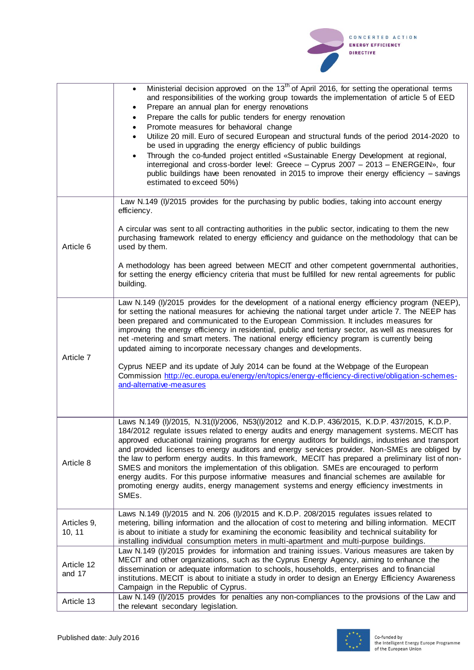

|                       | Ministerial decision approved on the 13 <sup>th</sup> of April 2016, for setting the operational terms<br>$\bullet$<br>and responsibilities of the working group towards the implementation of article 5 of EED<br>Prepare an annual plan for energy renovations<br>$\bullet$<br>Prepare the calls for public tenders for energy renovation<br>$\bullet$<br>Promote measures for behavioral change<br>$\bullet$<br>Utilize 20 mill. Euro of secured European and structural funds of the period 2014-2020 to<br>be used in upgrading the energy efficiency of public buildings<br>Through the co-funded project entitled «Sustainable Energy Development at regional,<br>$\bullet$<br>interregional and cross-border level: Greece - Cyprus 2007 - 2013 - ENERGEIN», four<br>public buildings have been renovated in 2015 to improve their energy efficiency - savings<br>estimated to exceed 50%) |
|-----------------------|----------------------------------------------------------------------------------------------------------------------------------------------------------------------------------------------------------------------------------------------------------------------------------------------------------------------------------------------------------------------------------------------------------------------------------------------------------------------------------------------------------------------------------------------------------------------------------------------------------------------------------------------------------------------------------------------------------------------------------------------------------------------------------------------------------------------------------------------------------------------------------------------------|
| Article 6             | Law N.149 (I)/2015 provides for the purchasing by public bodies, taking into account energy<br>efficiency.<br>A circular was sent to all contracting authorities in the public sector, indicating to them the new<br>purchasing framework related to energy efficiency and guidance on the methodology that can be<br>used by them.<br>A methodology has been agreed between MECIT and other competent governmental authorities,<br>for setting the energy efficiency criteria that must be fulfilled for new rental agreements for public<br>building.                                                                                                                                                                                                                                                                                                                                            |
|                       |                                                                                                                                                                                                                                                                                                                                                                                                                                                                                                                                                                                                                                                                                                                                                                                                                                                                                                    |
| Article 7             | Law N.149 (I)/2015 provides for the development of a national energy efficiency program (NEEP),<br>for setting the national measures for achieving the national target under article 7. The NEEP has<br>been prepared and communicated to the European Commission. It includes measures for<br>improving the energy efficiency in residential, public and tertiary sector, as well as measures for<br>net -metering and smart meters. The national energy efficiency program is currently being<br>updated aiming to incorporate necessary changes and developments.<br>Cyprus NEEP and its update of July 2014 can be found at the Webpage of the European<br>Commission http://ec.europa.eu/energy/en/topics/energy-efficiency-directive/obligation-schemes-<br>and-alternative-measures                                                                                                         |
|                       |                                                                                                                                                                                                                                                                                                                                                                                                                                                                                                                                                                                                                                                                                                                                                                                                                                                                                                    |
| Article 8             | Laws N.149 (I)/2015, N.31(I)/2006, N53(I)/2012 and K.D.P. 436/2015, K.D.P. 437/2015, K.D.P.<br>184/2012 regulate issues related to energy audits and energy management systems. MECIT has<br>approved educational training programs for energy auditors for buildings, industries and transport<br>and provided licenses to energy auditors and energy services provider. Non-SMEs are obliged by<br>the law to perform energy audits. In this framework, MECIT has prepared a preliminary list of non-<br>SMES and monitors the implementation of this obligation. SMEs are encouraged to perform<br>energy audits. For this purpose informative measures and financial schemes are available for<br>promoting energy audits, energy management systems and energy efficiency investments in<br>SMEs.                                                                                             |
| Articles 9,<br>10, 11 | Laws N.149 (I)/2015 and N. 206 (I)/2015 and K.D.P. 208/2015 regulates issues related to<br>metering, billing information and the allocation of cost to metering and billing information. MECIT<br>is about to initiate a study for examining the economic feasibility and technical suitability for<br>installing individual consumption meters in multi-apartment and multi-purpose buildings.                                                                                                                                                                                                                                                                                                                                                                                                                                                                                                    |
| Article 12<br>and 17  | Law N.149 (I)/2015 provides for information and training issues. Various measures are taken by<br>MECIT and other organizations, such as the Cyprus Energy Agency, aiming to enhance the<br>dissemination or adequate information to schools, households, enterprises and to financial<br>institutions. MECIT is about to initiate a study in order to design an Energy Efficiency Awareness<br>Campaign in the Republic of Cyprus.                                                                                                                                                                                                                                                                                                                                                                                                                                                                |
| Article 13            | Law N.149 (I)/2015 provides for penalties any non-compliances to the provisions of the Law and<br>the relevant secondary legislation.                                                                                                                                                                                                                                                                                                                                                                                                                                                                                                                                                                                                                                                                                                                                                              |

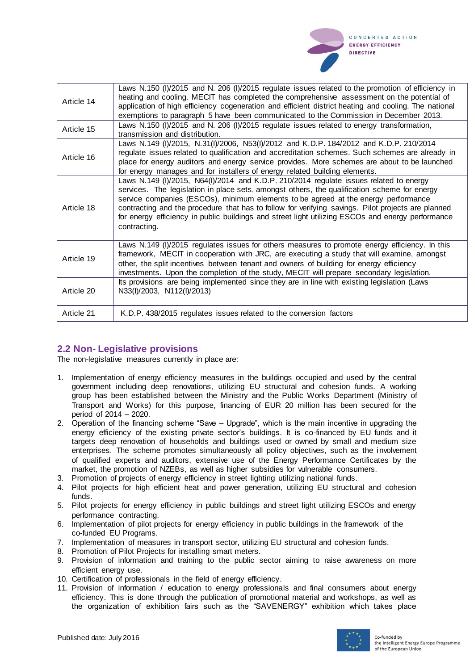

| Article 14 | Laws N.150 (I)/2015 and N. 206 (I)/2015 regulate issues related to the promotion of efficiency in<br>heating and cooling. MECIT has completed the comprehensive assessment on the potential of<br>application of high efficiency cogeneration and efficient district heating and cooling. The national<br>exemptions to paragraph 5 have been communicated to the Commission in December 2013.                                                                                                          |
|------------|---------------------------------------------------------------------------------------------------------------------------------------------------------------------------------------------------------------------------------------------------------------------------------------------------------------------------------------------------------------------------------------------------------------------------------------------------------------------------------------------------------|
| Article 15 | Laws N.150 (I)/2015 and N. 206 (I)/2015 regulate issues related to energy transformation,<br>transmission and distribution.                                                                                                                                                                                                                                                                                                                                                                             |
| Article 16 | Laws N.149 (I)/2015, N.31(I)/2006, N53(I)/2012 and K.D.P. 184/2012 and K.D.P. 210/2014<br>regulate issues related to qualification and accreditation schemes. Such schemes are already in<br>place for energy auditors and energy service provides. More schemes are about to be launched<br>for energy manages and for installers of energy related building elements.                                                                                                                                 |
| Article 18 | Laws N.149 (I)/2015, N64(I)/2014 and K.D.P. 210/2014 regulate issues related to energy<br>services. The legislation in place sets, amongst others, the qualification scheme for energy<br>service companies (ESCOs), minimum elements to be agreed at the energy performance<br>contracting and the procedure that has to follow for verifying savings. Pilot projects are planned<br>for energy efficiency in public buildings and street light utilizing ESCOs and energy performance<br>contracting. |
| Article 19 | Laws N.149 (I)/2015 regulates issues for others measures to promote energy efficiency. In this<br>framework, MECIT in cooperation with JRC, are executing a study that will examine, amongst<br>other, the split incentives between tenant and owners of building for energy efficiency<br>investments. Upon the completion of the study, MECIT will prepare secondary legislation.                                                                                                                     |
| Article 20 | Its provisions are being implemented since they are in line with existing legislation (Laws<br>N33(I)/2003, N112(I)/2013)                                                                                                                                                                                                                                                                                                                                                                               |
| Article 21 | K.D.P. 438/2015 regulates issues related to the conversion factors                                                                                                                                                                                                                                                                                                                                                                                                                                      |

#### **2.2 Non- Legislative provisions**

The non-legislative measures currently in place are:

- 1. Implementation of energy efficiency measures in the buildings occupied and used by the central government including deep renovations, utilizing EU structural and cohesion funds. A working group has been established between the Ministry and the Public Works Department (Ministry of Transport and Works) for this purpose, financing of EUR 20 million has been secured for the period of 2014 – 2020.
- 2. Operation of the financing scheme "Save Upgrade", which is the main incentive in upgrading the energy efficiency of the existing private sector's buildings. It is co-financed by EU funds and it targets deep renovation of households and buildings used or owned by small and medium size enterprises. The scheme promotes simultaneously all policy objectives, such as the involvement of qualified experts and auditors, extensive use of the Energy Performance Certificates by the market, the promotion of NZEBs, as well as higher subsidies for vulnerable consumers.
- 3. Promotion of projects of energy efficiency in street lighting utilizing national funds.
- 4. Pilot projects for high efficient heat and power generation, utilizing EU structural and cohesion funds.
- 5. Pilot projects for energy efficiency in public buildings and street light utilizing ESCOs and energy performance contracting.
- 6. Implementation of pilot projects for energy efficiency in public buildings in the framework of the co-funded EU Programs.
- 7. Implementation of measures in transport sector, utilizing EU structural and cohesion funds.
- 8. Promotion of Pilot Projects for installing smart meters.
- 9. Provision of information and training to the public sector aiming to raise awareness on more efficient energy use.
- 10. Certification of professionals in the field of energy efficiency.
- 11. Provision of information / education to energy professionals and final consumers about energy efficiency. This is done through the publication of promotional material and workshops, as well as the organization of exhibition fairs such as the "SAVENERGY" exhibition which takes place